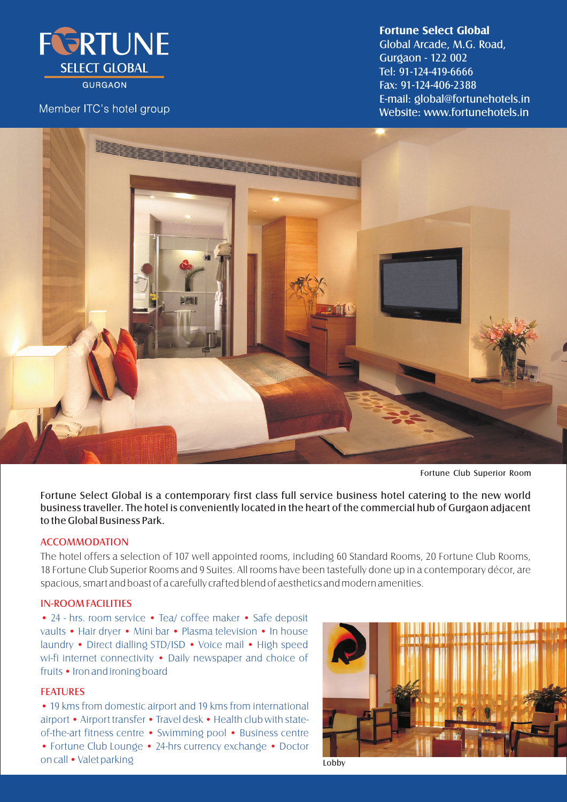

**GURGAON** 

## Member ITC's hotel group

### **Fortune Select Global**

Gurgaon - 122 002 Website: www.fortunehotels.in E-mail: global@fortunehotels.in Global Arcade, M.G. Road, Fax: 91-124-406-2388 Tel: 91-124-419-6666



Fortune Club Superior Room

Fortune Select Global is a contemporary first class full service business hotel catering to the new world business traveller. The hotel is conveniently located in the heart of the commercial hub of Gurgaon adjacent to the Global Business Park.

#### ACCOMMODATION

The hotel offers a selection of 107 well appointed rooms, including 60 Standard Rooms, 20 Fortune Club Rooms, 18 Fortune Club Superior Rooms and 9 Suites. All rooms have been tastefully done up in a contemporary décor, are spacious, smart and boast of a carefully crafted blend of aesthetics and modern amenities.

## IN-ROOM FACILITIES

• 24 - hrs. room service • Tea/ coffee maker • Safe deposit vaults • Hair dryer • Mini bar • Plasma television • In house laundry • Direct dialling STD/ISD • Voice mail • High speed wi-fi internet connectivity • Daily newspaper and choice of fruits • Iron and ironing board

#### **FEATURES**

• 19 kms from domestic airport and 19 kms from international airport • Airport transfer • Travel desk • Health club with stateof-the-art fitness centre • Swimming pool • Business centre • Fortune Club Lounge • 24-hrs currency exchange • Doctor on call •Valet parking



Lobby